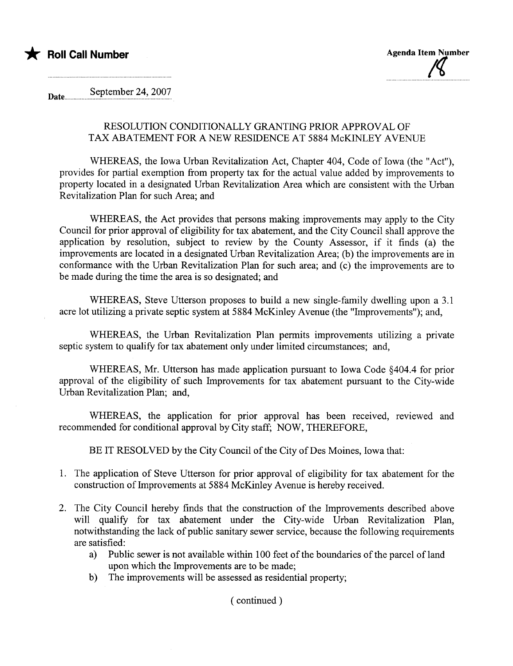



Date September 24, 2007

### RESOLUTION CONDITIONALLY GRATING PRIOR APPROVAL OF TAX ABATEMENT FOR A NEW RESIDENCE AT 5884 McKINLEY AVENUE

WHEREAS, the Iowa Urban Revitalization Act, Chapter 404, Code of Iowa (the "Act"), provides for parial exemption from property tax for the actual value added by improvements to property located in a designated Urban Revitalization Area which are consistent with the Urban Revitalization Plan for such Area; and

WHEREAS, the Act provides that persons making improvements may apply to the City Council for prior approval of eligibility for tax abatement, and the City Council shall approve the application by resolution, subject to review by the County Assessor, if it finds (a) the improvements are located in a designated Urban Revitalization Area; (b) the improvements are in conformance with the Urban Revitalization Plan for such area; and (c) the improvements are to be made during the time the area is so designated; and

WHEREAS, Steve Utterson proposes to build a new single-family dwelling upon a 3.1 acre lot utilizing a private septic system at 5884 McKinley Avenue (the "Improvements"); and,

WHEREAS, the Urban Revitalization Plan permits improvements utilizing a private septic system to qualify for tax abatement only under limited circumstances; and,

WHEREAS, Mr. Utters on has made application pursuant to Iowa Code §404.4 for prior approval of the eligibility of such Improvements for tax abatement pursuant to the City-wide Urban Revitalization Plan; and,

WHEREAS, the application for prior approval has been received, reviewed and recommended for conditional approval by City staff; NOW, THEREFORE,

BE IT RESOLVED by the City Council of the City of Des Moines, Iowa that:

- 1. The application of Steve Utters on for prior approval of eligibility for tax abatement for the construction of Improvements at 5884 McKinley Avenue is hereby received.
- 2. The City Council hereby finds that the construction of the Improvements described above will qualify for tax abatement under the City-wide Urban Revitalization Plan, notwithstanding the lack of public sanitary sewer service, because the following requirements are satisfied:
	- a) Public sewer is not available within 100 feet of the boundaries of the parcel of land upon which the Improvements are to be made;
	- b) The improvements will be assessed as residential property;

( continued)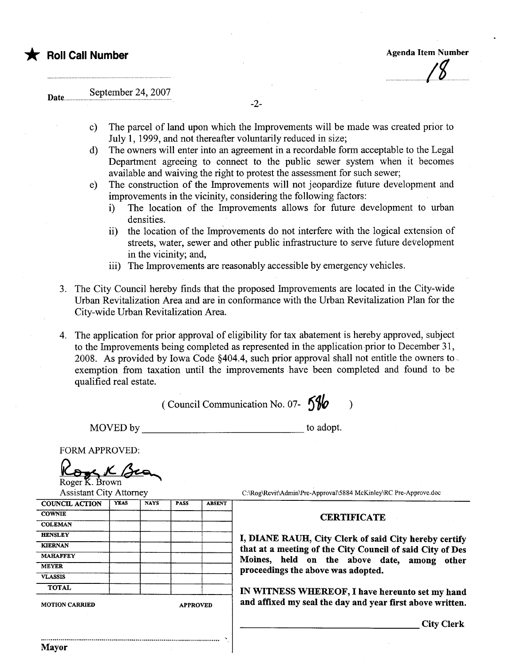

 $\overline{a}$ 

# Date.... September 24, 2007

- -2-
- c) The parcel of land upon which the Improvements wil be made was created prior to July 1, 1999, and not thereafter voluntarily reduced in size;
- d) The owners will enter into an agreement in a recordable form acceptable to the Legal Deparment agreeing to connect to the public sewer system when it becomes available and waiving the right to protest the assessment for such sewer;
- e) The construction of the Improvements will not jeopardize future development and improvements in the vicinity, considering the following factors:
	- i) The location of the Improvements allows for future development to urban densities.
	- ii) the location of the Improvements do not interfere with the logical extension of streets, water, sewer and other public infrastructure to serve future development in the vicinity; and,
	- iii) The Improvements are reasonably accessible by emergency vehicles.
- 3. The City Council hereby finds that the proposed Improvements are located in the City-wide Urban Revitalization Area and are in conformance with the Urban Revitalization Plan for the City-wide Urban Revitalization Area.
- 4. The application for prior approval of eligibility for tax abatement is hereby approved, subject to the Improvements being completed as represented in the application prior to December 31, 2008. As provided by Iowa Code §404.4, such prior approval shall not entitle the owners to. exemption from taxation until the improvements have been completed and found to be qualified real estate.

(Council Communication No. 07-  $\frac{59}{6}$ )

.

MOVED by to adopt.

FORM APPROVED:

Roger K. Brown<br>Assistant City Attorney<br>NGL ACTION | YEAS | NAYS

C:\Rog\Revit\Admin\Pre-Approval\5884 McKinley\RC Pre-Approve.doc

## COWNIE COWNER CERTIFICATE

City Clerk

| <b>HENSLEY</b>        |                 | I, DIANE RAUH, City Clerk of said City hereby certify     |  |  |  |
|-----------------------|-----------------|-----------------------------------------------------------|--|--|--|
| <b>KIERNAN</b>        |                 | that at a meeting of the City Council of said City of Des |  |  |  |
| <b>MAHAFFEY</b>       |                 | Moines, held on the above date, among other               |  |  |  |
| <b>MEYER</b>          |                 | proceedings the above was adopted.                        |  |  |  |
| <b>VLASSIS</b>        |                 |                                                           |  |  |  |
| <b>TOTAL</b>          |                 | IN WITNESS WHEREOF, I have hereunto set my hand           |  |  |  |
| <b>MOTION CARRIED</b> | <b>APPROVED</b> | and affixed my seal the day and year first above written. |  |  |  |
|                       |                 |                                                           |  |  |  |

..........................................................................................

COUNCIL ACTION YEAS NAYS PASS ABSENT

**COLEMAN**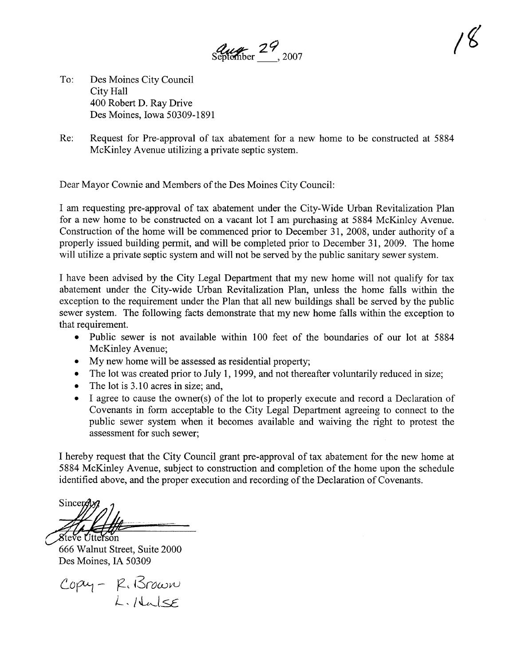$\frac{d\mu}{d\theta}$   $29$ , 2007

- To: Des Moines City Council City Hall 400 Robert D. Ray Drive Des Moines, Iowa 50309-1891
- Re: Request for Pre-approval of tax abatement for a new home to be constructed at 5884 McKinley Avenue utilizing a private septic system.

Dear Mayor Cownie and Members of the Des Moines City Council:

I am requesting pre-approval of tax abatement under the City-Wide Urban Revitalization Plan for a new home to be constructed on a vacant lot I am purchasing at 5884 McKinley Avenue. Construction of the home will be commenced prior to December 31, 2008, under authority of a properly issued building permit, and will be completed prior to December 31,2009. The home will utilize a private septic system and will not be served by the public sanitary sewer system.

I have been advised by the City Legal Department that my new home will not qualify for tax abatement under the City-wide Urban Revitalization Plan, unless the home falls within the exception to the requirement under the Plan that all new buildings shall be served by the public sewer system. The following facts demonstrate that my new home falls within the exception to that requirement.

- . Public sewer is not available within 100 feet of the boundaries of our lot at 5884 McKinley Avenue;
- . My new home will be assessed as residential property;
- . The lot was created prior to July 1, 1999, and not thereafter voluntarily reduced in size;
- . The lot is 3.10 acres in size; and,
- . I agree to cause the owner(s) of the lot to properly execute and record a Declaration of Covenants in form acceptable to the City Legal Department agreeing to connect to the public sewer system when it becomes available and waiving the right to protest the assessment for such sewer;

I hereby request that the City Council grant pre-approval of tax abatement for the new home at 5884 McKinley Avenue, subject to construction and completion of the home upon the schedule identified above, and the proper execution and recording of the Declaration of Covenants.

Sincerdly *<i><u>Steve Utterson</u>* 

666 Walnut Street, Suite 2000 Des Moines, IA 50309

 $C$ opy -  $K$   $S$ rown .<br>L. Italse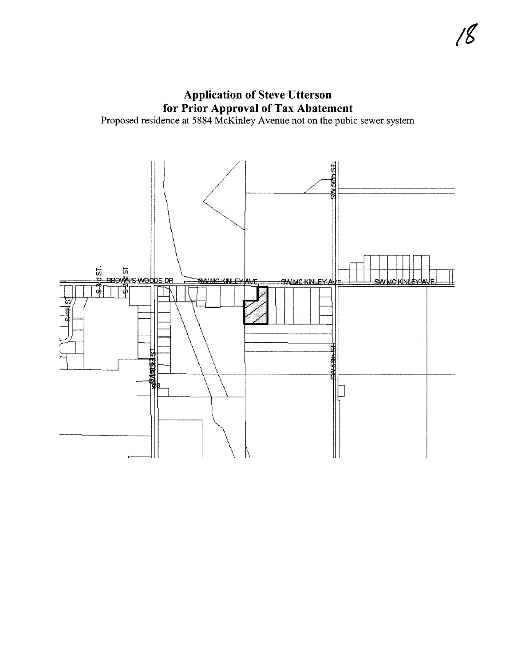**Application of Steve Utterson Example 2008 CONSTRANS SERVICES**<br>Froposed residence at 5884 McKinley Avenue not on the pubic sewer system